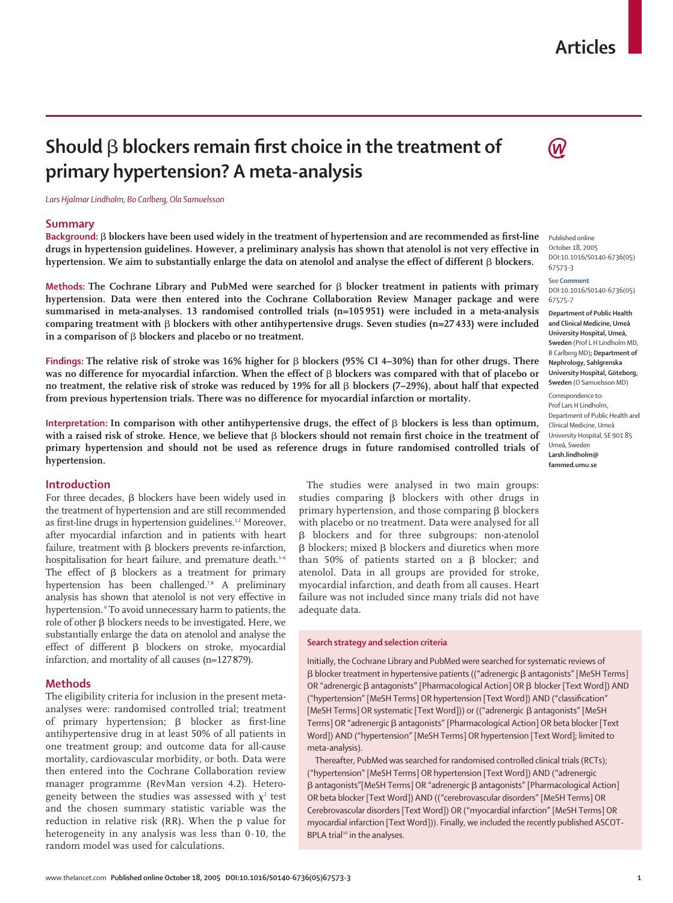## **Articles**

# Should  $\beta$  blockers remain first choice in the treatment of **primary hypertension? A meta-analysis**

*Lars Hjalmar Lindholm, Bo Carlberg, Ola Samuelsson*

#### **Summary**

Background:  $\beta$  blockers have been used widely in the treatment of hypertension and are recommended as first-line **drugs in hypertension guidelines. However, a preliminary analysis has shown that atenolol is not very effective in** hypertension. We aim to substantially enlarge the data on atenolol and analyse the effect of different  $\beta$  blockers.

**Methods: The Cochrane Library and PubMed were searched for**  $\beta$  **blocker treatment in patients with primary hypertension. Data were then entered into the Cochrane Collaboration Review Manager package and were summarised in meta-analyses. 13 randomised controlled trials (n=105 951) were included in a meta-analysis**  $comparing$  treatment with  $\beta$  blockers with other antihypertensive drugs. Seven studies (n=27 433) were included in a comparison of  $\beta$  blockers and placebo or no treatment.

Findings: The relative risk of stroke was 16% higher for  $\beta$  blockers (95% CI 4–30%) than for other drugs. There was no difference for myocardial infarction. When the effect of **β** blockers was compared with that of placebo or **no treatment, the relative risk of stroke was reduced by 19% for all β blockers (7–29%), about half that expected from previous hypertension trials. There was no difference for myocardial infarction or mortality.**

Interpretation: In comparison with other antihypertensive drugs, the effect of  $\beta$  blockers is less than optimum, with a raised risk of stroke. Hence, we believe that  $\beta$  blockers should not remain first choice in the treatment of **primary hypertension and should not be used as reference drugs in future randomised controlled trials of hypertension.**

## **Introduction**

For three decades,  $\beta$  blockers have been widely used in the treatment of hypertension and are still recommended as first-line drugs in hypertension guidelines.<sup>1,2</sup> Moreover, after myocardial infarction and in patients with heart failure, treatment with  $\beta$  blockers prevents re-infarction, hospitalisation for heart failure, and premature death.<sup>3-6</sup> The effect of  $\beta$  blockers as a treatment for primary hypertension has been challenged.<sup>7,8</sup> A preliminary analysis has shown that atenolol is not very effective in hypertension.<sup>9</sup> To avoid unnecessary harm to patients, the role of other  $\beta$  blockers needs to be investigated. Here, we substantially enlarge the data on atenolol and analyse the effect of different  $\beta$  blockers on stroke, myocardial infarction, and mortality of all causes (n=127879).

## **Methods**

The eligibility criteria for inclusion in the present metaanalyses were: randomised controlled trial; treatment of primary hypertension;  $\beta$  blocker as first-line antihypertensive drug in at least 50% of all patients in one treatment group; and outcome data for all-cause mortality, cardiovascular morbidity, or both. Data were then entered into the Cochrane Collaboration review manager programme (RevMan version 4.2). Heterogeneity between the studies was assessed with  $\chi^2$  test and the chosen summary statistic variable was the reduction in relative risk (RR). When the p value for heterogeneity in any analysis was less than 0·10, the random model was used for calculations.

The studies were analysed in two main groups: studies comparing  $\beta$  blockers with other drugs in primary hypertension, and those comparing  $\beta$  blockers with placebo or no treatment. Data were analysed for all β blockers and for three subgroups: non-atenolol  $\beta$  blockers; mixed  $\beta$  blockers and diuretics when more than 50% of patients started on a  $\beta$  blocker; and atenolol. Data in all groups are provided for stroke, myocardial infarction, and death from all causes. Heart failure was not included since many trials did not have adequate data.

#### **Search strategy and selection criteria**

Initially, the Cochrane Library and PubMed were searched for systematic reviews of  $\beta$  blocker treatment in hypertensive patients (("adrenergic  $\beta$  antagonists" [MeSH Terms] OR "adrenergic β antagonists" [Pharmacological Action] OR β blocker [Text Word]) AND ("hypertension" [MeSH Terms] OR hypertension [Text Word]) AND ("classification" [MeSH Terms] OR systematic [Text Word])) or (("adrenergic β antagonists" [MeSH Terms] OR "adrenergic β antagonists" [Pharmacological Action] OR beta blocker [Text Word]) AND ("hypertension" [MeSH Terms] OR hypertension [Text Word]; limited to meta-analysis).

Thereafter, PubMed was searched for randomised controlled clinical trials (RCTs); ("hypertension" [MeSH Terms] OR hypertension [Text Word]) AND ("adrenergic  $\beta$  antagonists"[MeSH Terms] OR "adrenergic  $\beta$  antagonists" [Pharmacological Action] OR beta blocker [Text Word]) AND (("cerebrovascular disorders" [MeSH Terms] OR Cerebrovascular disorders [Text Word]) OR ("myocardial infarction" [MeSH Terms] OR myocardial infarction [Text Word])). Finally, we included the recently published ASCOT-BPLA trial<sup>10</sup> in the analyses.



Published online October 18, 2005 DOI:10.1016/S0140-6736(05) 67573-3

See **Comment** DOI:10.1016/S0140-6736(05) 67575-7

**Department of Public Health and Clinical Medicine, Umeå University Hospital, Umeå, Sweden** (Prof L H Lindholm MD, B Carlberg MD)**; Department of Nephrology, Sahlgrenska University Hospital, Göteborg, Sweden** (O Samuelsson MD)

Correspondence to: Prof Lars H Lindholm, Department of Public Health and Clinical Medicine, Umeå University Hospital, SE 901 85 Umeå, Sweden **Larsh.lindholm@ fammed.umu.se**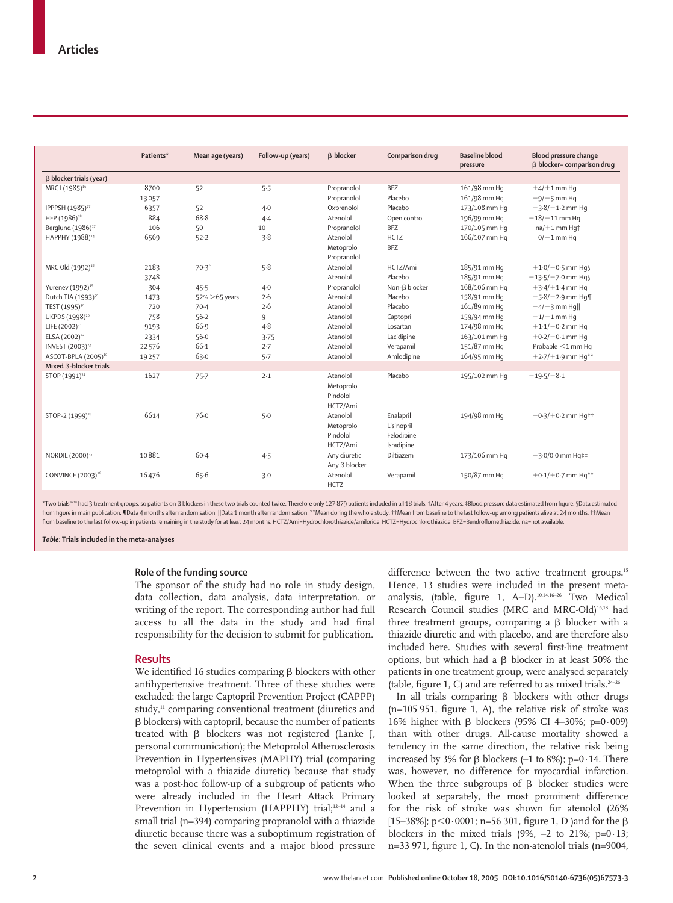| Patients* | Mean age (years)  | Follow-up (years) | <b>B</b> blocker    | Comparison drug           | <b>Baseline blood</b><br>pressure | <b>Blood pressure change</b><br>B blocker-comparison drug |
|-----------|-------------------|-------------------|---------------------|---------------------------|-----------------------------------|-----------------------------------------------------------|
|           |                   |                   |                     |                           |                                   |                                                           |
| 8700      | 52                | 5.5               | Propranolol         | <b>BFZ</b>                | 161/98 mm Hq                      | $+4/+1$ mm Hq <sup>+</sup>                                |
| 13057     |                   |                   | Propranolol         | Placebo                   | 161/98 mm Hq                      | $-9/-5$ mm Hqt                                            |
| 6357      | 52                | $4-0$             | Oxprenolol          | Placebo                   | 173/108 mm Hq                     | $-3.8/-1.2$ mm Hq                                         |
| 884       | 68.8              | $4-4$             | Atenolol            | Open control              | 196/99 mm Hq                      | $-18/-11$ mm Hq                                           |
| 106       | 50                | 10                | Propranolol         | <b>BFZ</b>                | 170/105 mm Hq                     | $na/+1$ mm Hq‡                                            |
| 6569      | 52.2              | 3.8               | Atenolol            | <b>HCTZ</b>               | 166/107 mm Hq                     | $0/-1$ mm Hq                                              |
|           |                   |                   | Metoprolol          | <b>BFZ</b>                |                                   |                                                           |
|           |                   |                   | Propranolol         |                           |                                   |                                                           |
| 2183      | 70.3'             | 5.8               | Atenolol            | HCTZ/Ami                  | 185/91 mm Hq                      | $+1.0/-0.5$ mm Hq $\frac{6}{3}$                           |
| 3748      |                   |                   | Atenolol            | Placebo                   | 185/91 mm Hq                      | $-13.5/-7.0$ mm Hq $\sqrt$                                |
| 304       | 45.5              | $4-0$             | Propranolol         | Non- <sub>B</sub> blocker | 168/106 mm Hq                     | $+3.4/+1.4$ mm Hq                                         |
| 1473      | $52\% > 65$ years | 2.6               | Atenolol            | Placebo                   | 158/91 mm Hq                      | $-5.8/-2.9$ mm Hq¶                                        |
| 720       | $70-4$            | 2.6               | Atenolol            | Placebo                   | 161/89 mm Hq                      | $-4/-3$ mm Hg                                             |
| 758       | 56.2              | 9                 | Atenolol            | Captopril                 | 159/94 mm Hq                      | $-1/-1$ mm Hq                                             |
| 9193      | 66.9              | $4 - 8$           | Atenolol            | Losartan                  | 174/98 mm Hq                      | $+1.1/-0.2$ mm Hq                                         |
| 2334      | 56.0              | 3.75              | Atenolol            | Lacidipine                | 163/101 mm Hq                     | $+0.2/-0.1$ mm Hq                                         |
| 22 576    | 66.1              | 2.7               | Atenolol            | Verapamil                 | 151/87 mm Hq                      | Probable $<$ 1 mm Hq                                      |
| 19 2 5 7  | 63.0              | 5.7               | Atenolol            | Amlodipine                | 164/95 mm Hq                      | $+2.7$ / $+1.9$ mm Hq <sup>**</sup>                       |
|           |                   |                   |                     |                           |                                   |                                                           |
| 1627      | 75.7              | 2.1               | Atenolol            | Placebo                   | 195/102 mm Hq                     | $-19.5/-8.1$                                              |
|           |                   |                   | Metoprolol          |                           |                                   |                                                           |
|           |                   |                   | Pindolol            |                           |                                   |                                                           |
|           |                   |                   | HCTZ/Ami            |                           |                                   |                                                           |
| 6614      | 76.0              | 5.0               | Atenolol            | Enalapril                 | 194/98 mm Hq                      | $-0.3/+0.2$ mm Hqtt                                       |
|           |                   |                   | Metoprolol          | Lisinopril                |                                   |                                                           |
|           |                   |                   | Pindolol            | Felodipine                |                                   |                                                           |
|           |                   |                   | HCTZ/Ami            | Isradipine                |                                   |                                                           |
| 10881     | $60-4$            | 4.5               | Any diuretic        | Diltiazem                 | 173/106 mm Hq                     | $-3.0/0.0$ mm Hq‡‡                                        |
|           |                   |                   | Any $\beta$ blocker |                           |                                   |                                                           |
| 16476     | 65.6              | 3.0               | Atenolol            | Verapamil                 | 150/87 mm Hq                      | $+0.1/+0.7$ mm Hq <sup>**</sup>                           |
|           |                   |                   | <b>HCTZ</b>         |                           |                                   |                                                           |
|           |                   |                   |                     |                           |                                   |                                                           |

\*Two trials<sup>16.18</sup> had 3 treatment groups, so patients on β blockers in these two trials counted twice. Therefore only 127 879 patients included in all 18 trials. †After 4 years. ‡Blood pressure data estimated from figure from figure in main publication. ¶Data 4 months after randomisation. ||Data 1 month after randomisation. \*\*Mean during the whole study. ††Mean from baseline to the last follow-up among patients alive at 24 months. ‡‡Mean from baseline to the last follow-up in patients remaining in the study for at least 24 months. HCTZ/Ami=Hydrochlorothiazide/amiloride. HCTZ=Hydrochlorothiazide. BFZ=Bendroflumethiazide. na=not available.

*Table***: Trials included in the meta-analyses**

### **Role of the funding source**

The sponsor of the study had no role in study design, data collection, data analysis, data interpretation, or writing of the report. The corresponding author had full access to all the data in the study and had final responsibility for the decision to submit for publication.

### **Results**

We identified 16 studies comparing  $\beta$  blockers with other antihypertensive treatment. Three of these studies were excluded: the large Captopril Prevention Project (CAPPP) study,<sup>11</sup> comparing conventional treatment (diuretics and - blockers) with captopril, because the number of patients treated with  $\beta$  blockers was not registered (Lanke J, personal communication); the Metoprolol Atherosclerosis Prevention in Hypertensives (MAPHY) trial (comparing metoprolol with a thiazide diuretic) because that study was a post-hoc follow-up of a subgroup of patients who were already included in the Heart Attack Primary Prevention in Hypertension (HAPPHY) trial;<sup>12-14</sup> and a small trial (n=394) comparing propranolol with a thiazide diuretic because there was a suboptimum registration of the seven clinical events and a major blood pressure

difference between the two active treatment groups**.** 15 Hence, 13 studies were included in the present metaanalysis, (table, figure 1, A–D).10,14,16–26 Two Medical Research Council studies (MRC and MRC-Old)16,18 had three treatment groups, comparing a  $\beta$  blocker with a thiazide diuretic and with placebo, and are therefore also included here. Studies with several first-line treatment options, but which had a  $\beta$  blocker in at least 50% the patients in one treatment group, were analysed separately (table, figure 1, C) and are referred to as mixed trials.<sup>24-26</sup>

In all trials comparing  $\beta$  blockers with other drugs (n=105 951, figure 1, A), the relative risk of stroke was 16% higher with β blockers (95% CI 4–30%; p=0·009) than with other drugs. All-cause mortality showed a tendency in the same direction, the relative risk being increased by 3% for  $\beta$  blockers (–1 to 8%); p=0·14. There was, however, no difference for myocardial infarction. When the three subgroups of  $\beta$  blocker studies were looked at separately, the most prominent difference for the risk of stroke was shown for atenolol (26% [15–38%]; p<0 $\cdot$ 0001; n=56 301, figure 1, D )and for the  $\beta$ blockers in the mixed trials  $(9\%, -2 \text{ to } 21\%; \text{ p} = 0.13;$ n=33 971, figure 1, C). In the non-atenolol trials (n=9004,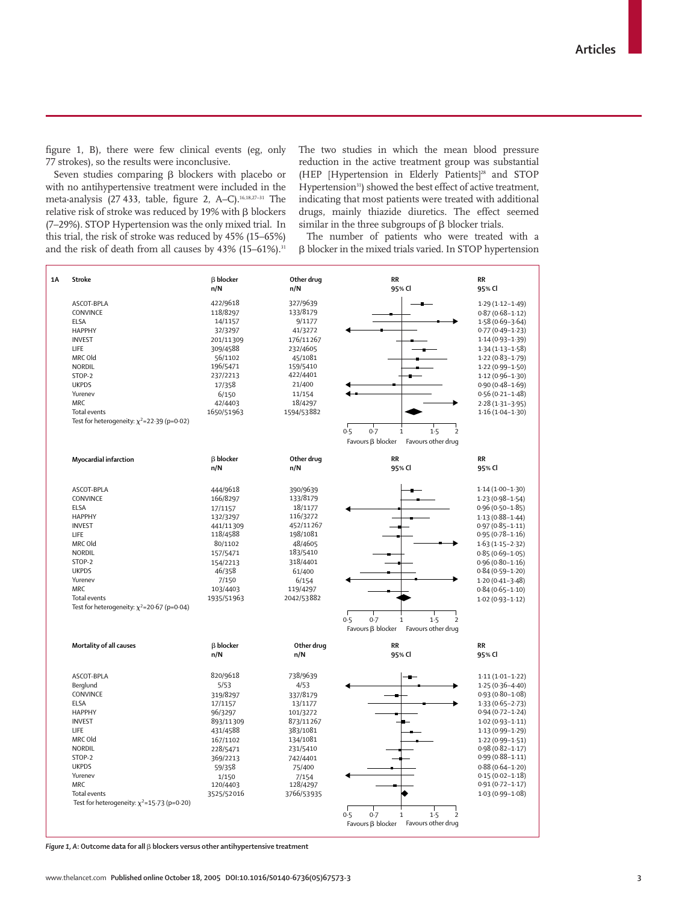figure 1, B), there were few clinical events (eg, only 77 strokes), so the results were inconclusive.

Seven studies comparing  $\beta$  blockers with placebo or with no antihypertensive treatment were included in the meta-analysis (27 433, table, figure 2, A–C).<sup>16,18,27-31</sup> The relative risk of stroke was reduced by 19% with  $\beta$  blockers (7–29%). STOP Hypertension was the only mixed trial. In this trial, the risk of stroke was reduced by 45% (15–65%) and the risk of death from all causes by  $43\%$  (15–61%).<sup>31</sup>

The two studies in which the mean blood pressure reduction in the active treatment group was substantial (HEP [Hypertension in Elderly Patients]<sup>28</sup> and STOP Hypertension<sup>31</sup>) showed the best effect of active treatment, indicating that most patients were treated with additional drugs, mainly thiazide diuretics. The effect seemed  $\sin$  iarrow in the three subgroups of  $\beta$  blocker trials.

The number of patients who were treated with a β blocker in the mixed trials varied. In STOP hypertension



Figure 1, A: Outcome data for all  $\beta$  blockers versus other antihypertensive treatment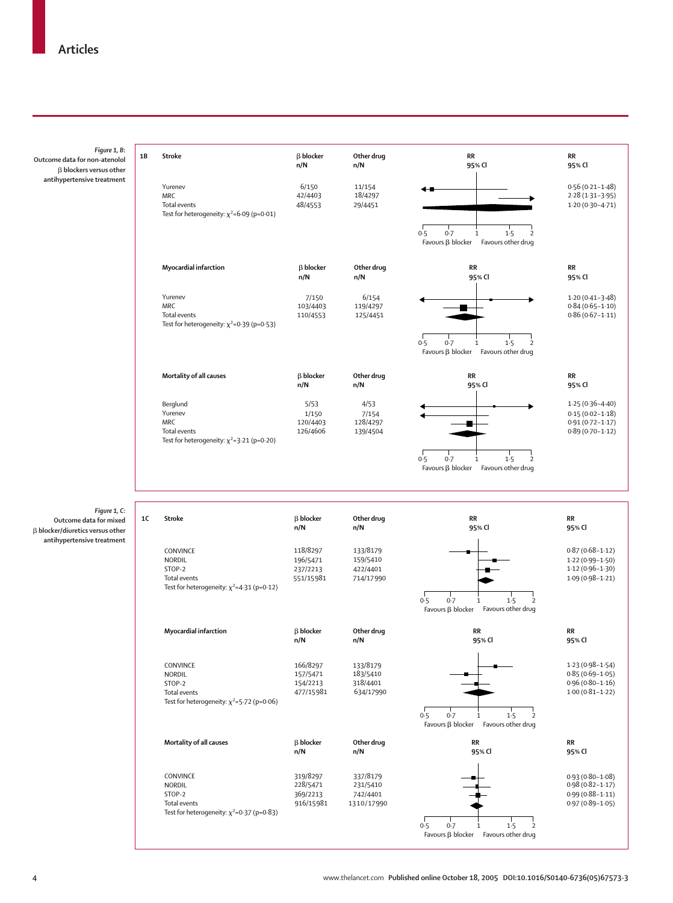| Figure 1, B:<br>Outcome data for non-atenolol<br>$\beta$ blockers versus other   | 1B        | Stroke                                                                                                        | $\beta$ blocker<br>n/N                        | Other drug<br>n/N                              | RR<br>95% Cl                                                                           | RR<br>95% Cl                                                                             |
|----------------------------------------------------------------------------------|-----------|---------------------------------------------------------------------------------------------------------------|-----------------------------------------------|------------------------------------------------|----------------------------------------------------------------------------------------|------------------------------------------------------------------------------------------|
| antihypertensive treatment                                                       |           | Yurenev<br><b>MRC</b><br>Total events<br>Test for heterogeneity: $\chi^2$ =6.09 (p=0.01)                      | 6/150<br>42/4403<br>48/4553                   | 11/154<br>18/4297<br>29/4451                   | 0.7<br>0.5<br>$\mathbf 1$<br>1.5<br>2<br>Favours $\beta$ blocker<br>Favours other drug | $0.56(0.21 - 1.48)$<br>$2.28(1.31 - 3.95)$<br>$1.20(0.30 - 4.71)$                        |
|                                                                                  |           | Myocardial infarction                                                                                         | $\beta$ blocker<br>n/N                        | Other drug<br>n/N                              | RR<br>95% Cl                                                                           | <b>RR</b><br>95% Cl                                                                      |
|                                                                                  |           | Yurenev<br><b>MRC</b><br>Total events<br>Test for heterogeneity: $\chi^2$ =0.39 (p=0.53)                      | 7/150<br>103/4403<br>110/4553                 | 6/154<br>119/4297<br>125/4451                  | 0.7<br>1.5<br>0.5<br>1<br>$\overline{2}$<br>Favours $\beta$ blocker Favours other drug | $1.20(0.41 - 3.48)$<br>$0.84(0.65 - 1.10)$<br>$0.86(0.67 - 1.11)$                        |
|                                                                                  |           | Mortality of all causes                                                                                       | $\beta$ blocker<br>n/N                        | Other drug<br>n/N                              | <b>RR</b><br>95% Cl                                                                    | <b>RR</b><br>95% Cl                                                                      |
|                                                                                  |           | Berglund<br>Yurenev<br><b>MRC</b><br>Total events<br>Test for heterogeneity: $\chi^2$ =3.21 (p=0.20)          | 5/53<br>1/150<br>120/4403<br>126/4606         | 4/53<br>7/154<br>128/4297<br>139/4504          | 0.5<br>0.7<br>1.5<br>$\overline{2}$<br>$\,1$                                           | $1.25(0.36 - 4.40)$<br>$0.15(0.02 - 1.18)$<br>$0.91(0.72 - 1.17)$<br>$0.89(0.70 - 1.12)$ |
|                                                                                  |           |                                                                                                               |                                               |                                                | Favours $\beta$ blocker Favours other drug                                             |                                                                                          |
| Figure 1, C:<br>Outcome data for mixed<br>$\beta$ blocker/diuretics versus other | <b>1C</b> | <b>Stroke</b>                                                                                                 | $\beta$ blocker<br>n/N                        | Other drug<br>n/N                              | RR<br>95% Cl                                                                           | RR<br>95% Cl                                                                             |
| antihypertensive treatment                                                       |           | CONVINCE<br><b>NORDIL</b><br>STOP-2<br>Total events<br>Test for heterogeneity: $\chi^2$ =4.31 (p=0.12)        | 118/8297<br>196/5471<br>237/2213<br>551/15981 | 133/8179<br>159/5410<br>422/4401<br>714/17990  | 0.7<br>1.5<br>0.5<br>1<br>2                                                            | $0.87(0.68 - 1.12)$<br>$1.22(0.99 - 1.50)$<br>$1.12(0.96 - 1.30)$<br>$1.09(0.98 - 1.21)$ |
|                                                                                  |           | Myocardial infarction                                                                                         | $\beta$ blocker<br>n/N                        | Other drug<br>n/N                              | Favours $\beta$ blocker<br>Favours other drug<br>RR<br>95% Cl                          | <b>RR</b><br>95% Cl                                                                      |
|                                                                                  |           | CONVINCE<br><b>NORDIL</b><br>STOP-2<br><b>Total events</b><br>Test for heterogeneity: $\chi^2$ =5.72 (p=0.06) | 166/8297<br>157/5471<br>154/2213<br>477/15981 | 133/8179<br>183/5410<br>318/4401<br>634/17990  | 0.7<br>0.5<br>1.5<br>1<br>2<br>Favours $\beta$ blocker Favours other drug              | $1.23(0.98 - 1.54)$<br>$0.85(0.69 - 1.05)$<br>$0.96(0.80 - 1.16)$<br>$1.00(0.81 - 1.22)$ |
|                                                                                  |           | Mortality of all causes                                                                                       | <b>B</b> blocker<br>n/N                       | Other drug<br>n/N                              | RR<br>95% Cl                                                                           | RR<br>95% Cl                                                                             |
|                                                                                  |           | CONVINCE<br><b>NORDIL</b><br>STOP-2<br>Total events<br>Test for heterogeneity: $\chi^2$ =0.37 (p=0.83)        | 319/8297<br>228/5471<br>369/2213<br>916/15981 | 337/8179<br>231/5410<br>742/4401<br>1310/17990 | 0.7<br>0.5<br>1.5<br>2<br>1<br>Favours $\beta$ blocker Favours other drug              | $0.93(0.80 - 1.08)$<br>$0.98(0.82 - 1.17)$<br>$0.99(0.88 - 1.11)$<br>$0.97(0.89 - 1.05)$ |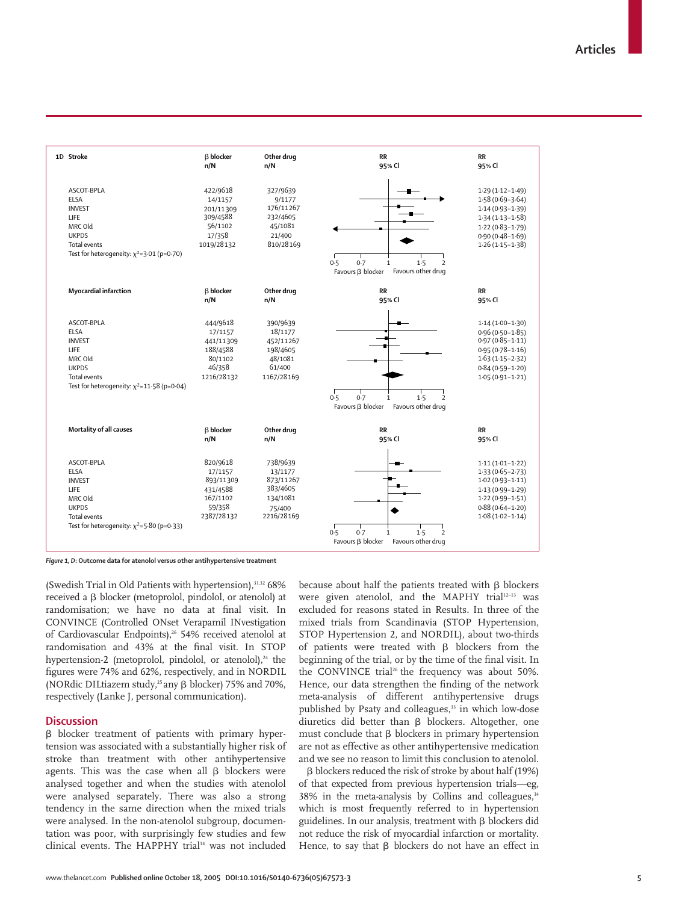

*Figure 1, D***: Outcome data for atenolol versus other antihypertensive treatment** 

(Swedish Trial in Old Patients with hypertension), $31,32$  68% received a  $\beta$  blocker (metoprolol, pindolol, or atenolol) at randomisation; we have no data at final visit. In CONVINCE (Controlled ONset Verapamil INvestigation of Cardiovascular Endpoints),<sup>26</sup> 54% received atenolol at randomisation and 43% at the final visit. In STOP hypertension-2 (metoprolol, pindolol, or atenolol), $24$  the figures were 74% and 62%, respectively, and in NORDIL (NORdic DILtiazem study,<sup>25</sup> any  $\beta$  blocker) 75% and 70%, respectively (Lanke J, personal communication).

## **Discussion**

β blocker treatment of patients with primary hypertension was associated with a substantially higher risk of stroke than treatment with other antihypertensive agents. This was the case when all  $\beta$  blockers were analysed together and when the studies with atenolol were analysed separately. There was also a strong tendency in the same direction when the mixed trials were analysed. In the non-atenolol subgroup, documentation was poor, with surprisingly few studies and few clinical events. The HAPPHY trial<sup>14</sup> was not included

because about half the patients treated with  $\beta$  blockers were given atenolol, and the MAPHY trial<sup>12-13</sup> was excluded for reasons stated in Results. In three of the mixed trials from Scandinavia (STOP Hypertension, STOP Hypertension 2, and NORDIL), about two-thirds of patients were treated with  $\beta$  blockers from the beginning of the trial, or by the time of the final visit. In the CONVINCE trial<sup>26</sup> the frequency was about 50%. Hence, our data strengthen the finding of the network meta-analysis of different antihypertensive drugs published by Psaty and colleagues,<sup>33</sup> in which low-dose diuretics did better than  $\beta$  blockers. Altogether, one must conclude that  $\beta$  blockers in primary hypertension are not as effective as other antihypertensive medication and we see no reason to limit this conclusion to atenolol.

 $\beta$  blockers reduced the risk of stroke by about half (19%) of that expected from previous hypertension trials—eg, 38% in the meta-analysis by Collins and colleagues,<sup>34</sup> which is most frequently referred to in hypertension guidelines. In our analysis, treatment with  $\beta$  blockers did not reduce the risk of myocardial infarction or mortality. Hence, to say that  $\beta$  blockers do not have an effect in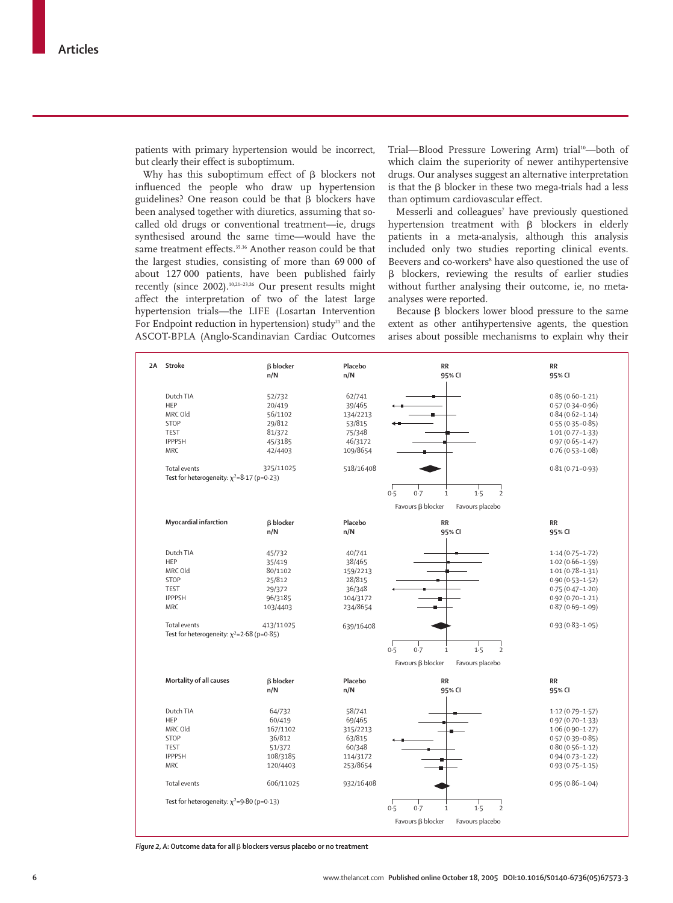patients with primary hypertension would be incorrect, but clearly their effect is suboptimum.

Why has this suboptimum effect of  $\beta$  blockers not influenced the people who draw up hypertension guidelines? One reason could be that  $\beta$  blockers have been analysed together with diuretics, assuming that socalled old drugs or conventional treatment—ie, drugs synthesised around the same time—would have the same treatment effects.<sup>35,36</sup> Another reason could be that the largest studies, consisting of more than 69 000 of about 127 000 patients, have been published fairly recently (since 2002).10,21–23,26 Our present results might affect the interpretation of two of the latest large hypertension trials—the LIFE (Losartan Intervention For Endpoint reduction in hypertension) study<sup>21</sup> and the ASCOT-BPLA (Anglo-Scandinavian Cardiac Outcomes Trial—Blood Pressure Lowering Arm) trial<sup>10</sup>—both of which claim the superiority of newer antihypertensive drugs. Our analyses suggest an alternative interpretation is that the  $\beta$  blocker in these two mega-trials had a less than optimum cardiovascular effect.

Messerli and colleagues<sup>7</sup> have previously questioned hypertension treatment with  $\beta$  blockers in elderly patients in a meta-analysis, although this analysis included only two studies reporting clinical events. Beevers and co-workers<sup>8</sup> have also questioned the use of β blockers, reviewing the results of earlier studies without further analysing their outcome, ie, no metaanalyses were reported.

Because  $\beta$  blockers lower blood pressure to the same extent as other antihypertensive agents, the question arises about possible mechanisms to explain why their

| 2A Stroke                                                        | <b>B</b> blocker | Placebo   | <b>RR</b>                                           | <b>RR</b>           |
|------------------------------------------------------------------|------------------|-----------|-----------------------------------------------------|---------------------|
|                                                                  | n/N              | n/N       | 95% CI                                              | 95% CI              |
| Dutch TIA                                                        | 52/732           | 62/741    |                                                     | $0.85(0.60 - 1.21)$ |
| HEP                                                              | 20/419           | 39/465    |                                                     | $0.57(0.34 - 0.96)$ |
| MRC Old                                                          | 56/1102          | 134/2213  |                                                     | $0.84(0.62 - 1.14)$ |
| <b>STOP</b>                                                      | 29/812           | 53/815    |                                                     | $0.55(0.35 - 0.85)$ |
| <b>TEST</b>                                                      | 81/372           | 75/348    |                                                     | $1.01(0.77 - 1.33)$ |
| <b>IPPPSH</b>                                                    | 45/3185          | 46/3172   |                                                     | $0.97(0.65 - 1.47)$ |
| <b>MRC</b>                                                       | 42/4403          | 109/8654  |                                                     | $0.76(0.53 - 1.08)$ |
|                                                                  |                  |           |                                                     |                     |
| Total events<br>Test for heterogeneity: $\chi^2 = 8.17$ (p=0.23) | 325/11025        | 518/16408 |                                                     | $0.81(0.71 - 0.93)$ |
|                                                                  |                  |           | 1.5<br>0.5<br>0.7<br>$\frac{1}{2}$<br>$1\,$         |                     |
|                                                                  |                  |           | Favours ß blocker<br>Favours placebo                |                     |
| Myocardial infarction                                            | <b>B</b> blocker | Placebo   | RR                                                  | RR                  |
|                                                                  | n/N              | n/N       | 95% CI                                              | 95% CI              |
| Dutch TIA                                                        | 45/732           | 40/741    |                                                     | $1.14(0.75 - 1.72)$ |
| HEP                                                              | 35/419           | 38/465    |                                                     | $1.02(0.66 - 1.59)$ |
| MRC Old                                                          | 80/1102          | 159/2213  |                                                     | $1.01(0.78-1.31)$   |
| <b>STOP</b>                                                      | 25/812           | 28/815    |                                                     | $0.90(0.53 - 1.52)$ |
| <b>TEST</b>                                                      | 29/372           | 36/348    |                                                     | $0.75(0.47 - 1.20)$ |
| <b>IPPPSH</b>                                                    | 96/3185          | 104/3172  |                                                     | $0.92(0.70 - 1.21)$ |
| <b>MRC</b>                                                       | 103/4403         | 234/8654  |                                                     | $0.87(0.69 - 1.09)$ |
|                                                                  |                  |           |                                                     |                     |
| Total events                                                     | 413/11025        | 639/16408 |                                                     | $0.93(0.83 - 1.05)$ |
| Test for heterogeneity: $\chi^2$ =2.68 (p=0.85)                  |                  |           |                                                     |                     |
|                                                                  |                  |           | 0.5<br>0.7<br>1.5<br>$\overline{2}$<br>$\mathbf{1}$ |                     |
|                                                                  |                  |           | Favours ß blocker<br>Favours placebo                |                     |
| Mortality of all causes                                          | <b>B</b> blocker | Placebo   | <b>RR</b>                                           | <b>RR</b>           |
|                                                                  | n/N              | n/N       | 95% CI                                              | 95% CI              |
| Dutch TIA                                                        | 64/732           | 58/741    |                                                     | $1.12(0.79 - 1.57)$ |
| HEP                                                              | 60/419           | 69/465    |                                                     | $0.97(0.70 - 1.33)$ |
| MRC Old                                                          | 167/1102         | 315/2213  |                                                     | $1.06(0.90 - 1.27)$ |
| STOP                                                             | 36/812           | 63/815    |                                                     | $0.57(0.39 - 0.85)$ |
| <b>TEST</b>                                                      | 51/372           | 60/348    |                                                     | $0.80(0.56 - 1.12)$ |
| <b>IPPPSH</b>                                                    | 108/3185         | 114/3172  |                                                     | $0.94(0.73 - 1.22)$ |
| <b>MRC</b>                                                       | 120/4403         | 253/8654  |                                                     | $0.93(0.75 - 1.15)$ |
| Total events                                                     | 606/11025        | 932/16408 |                                                     | $0.95(0.86 - 1.04)$ |
| Test for heterogeneity: $\chi^2$ =9.80 (p=0.13)                  |                  |           | 0.7<br>0.5<br>1.5<br>$\overline{2}$<br>$\mathbf{1}$ |                     |
|                                                                  |                  |           |                                                     |                     |
|                                                                  |                  |           | Favours ß blocker<br>Favours placebo                |                     |

*Figure 2, A***: Outcome data for all** - **blockers versus placebo or no treatment**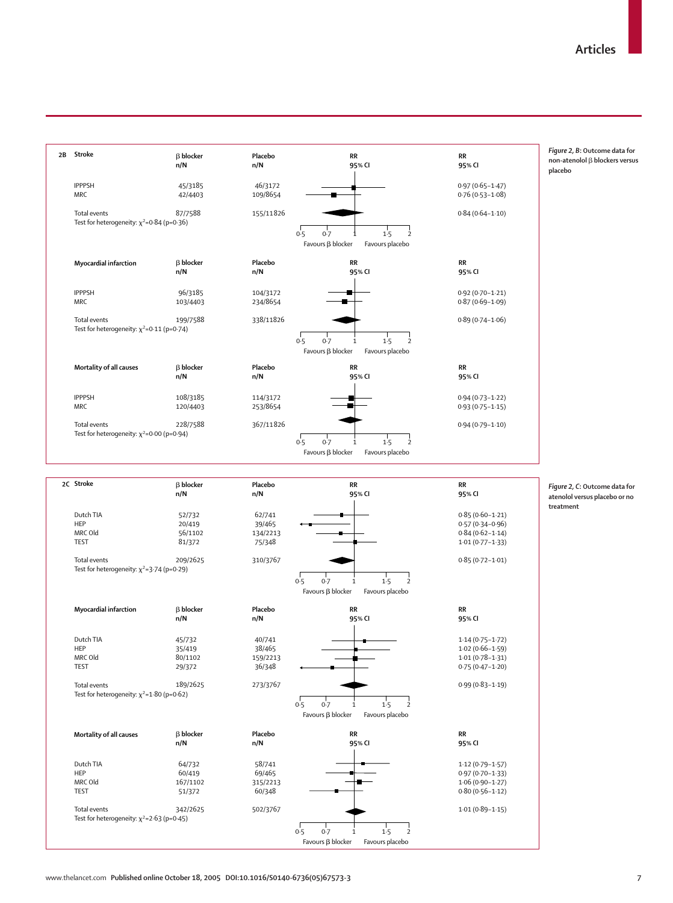

*Figure 2, B***: Outcome data for non-atenolol β blockers versus placebo**

*Figure 2, C***: Outcome data for atenolol versus placebo or no treatment**

**Mortality of all causes**  $\beta$  blocker

Test for heterogeneity:  $\chi^2$ =2·63 (p=0·45)

Dutch TIA HEP MRC Old TEST Total events **n/N**

 64/732 60/419 167/1102 51/372 342/2625 **Placebo n/N**

 58/741 69/465 315/2213 60/348 502/3767 Favours  $\beta$  blocker Favours placebo

**RR 95% CI**

0·5 0·7 1·5 2  $F$ avours  $\beta$  blocker Favours placebo 1

**RR 95% CI**

1·12 (0·79–1·57) 0·97 (0·70–1·33) 1·06 (0·90–1·27) 0·80 (0·56–1·12) 1·01 (0·89–1·15)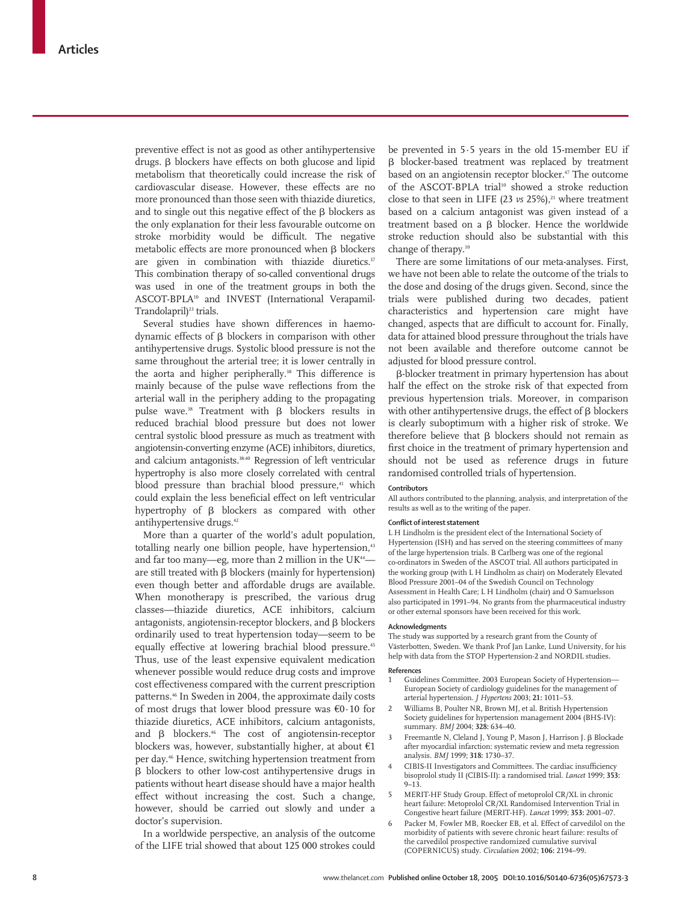preventive effect is not as good as other antihypertensive drugs.  $\beta$  blockers have effects on both glucose and lipid metabolism that theoretically could increase the risk of cardiovascular disease. However, these effects are no more pronounced than those seen with thiazide diuretics, and to single out this negative effect of the  $\beta$  blockers as the only explanation for their less favourable outcome on stroke morbidity would be difficult. The negative metabolic effects are more pronounced when  $\beta$  blockers are given in combination with thiazide diuretics.<sup>37</sup> This combination therapy of so-called conventional drugs was used in one of the treatment groups in both the ASCOT-BPLA10 and INVEST (International Verapamil-Trandolapril)<sup>23</sup> trials.

Several studies have shown differences in haemodynamic effects of  $\beta$  blockers in comparison with other antihypertensive drugs. Systolic blood pressure is not the same throughout the arterial tree; it is lower centrally in the aorta and higher peripherally.<sup>38</sup> This difference is mainly because of the pulse wave reflections from the arterial wall in the periphery adding to the propagating pulse wave.<sup>38</sup> Treatment with  $\beta$  blockers results in reduced brachial blood pressure but does not lower central systolic blood pressure as much as treatment with angiotensin-converting enzyme (ACE) inhibitors, diuretics, and calcium antagonists.<sup>38.40</sup> Regression of left ventricular hypertrophy is also more closely correlated with central blood pressure than brachial blood pressure,<sup>41</sup> which could explain the less beneficial effect on left ventricular hypertrophy of  $\beta$  blockers as compared with other antihypertensive drugs.<sup>42</sup>

More than a quarter of the world's adult population, totalling nearly one billion people, have hypertension,<sup>43</sup> and far too many-eg, more than 2 million in the UK<sup>44</sup>are still treated with  $\beta$  blockers (mainly for hypertension) even though better and affordable drugs are available. When monotherapy is prescribed, the various drug classes—thiazide diuretics, ACE inhibitors, calcium antagonists, angiotensin-receptor blockers, and  $\beta$  blockers ordinarily used to treat hypertension today—seem to be equally effective at lowering brachial blood pressure.<sup>45</sup> Thus, use of the least expensive equivalent medication whenever possible would reduce drug costs and improve cost effectiveness compared with the current prescription patterns.46 In Sweden in 2004, the approximate daily costs of most drugs that lower blood pressure was €0·10 for thiazide diuretics, ACE inhibitors, calcium antagonists, and  $\beta$  blockers.<sup>46</sup> The cost of angiotensin-receptor blockers was, however, substantially higher, at about  $€1$ per day.<sup>46</sup> Hence, switching hypertension treatment from  $\beta$  blockers to other low-cost antihypertensive drugs in patients without heart disease should have a major health effect without increasing the cost. Such a change, however, should be carried out slowly and under a doctor's supervision.

In a worldwide perspective, an analysis of the outcome of the LIFE trial showed that about 125 000 strokes could be prevented in 5·5 years in the old 15-member EU if β blocker-based treatment was replaced by treatment based on an angiotensin receptor blocker.<sup>47</sup> The outcome of the ASCOT-BPLA trial<sup>10</sup> showed a stroke reduction close to that seen in LIFE (23 *vs* 25%),<sup>21</sup> where treatment based on a calcium antagonist was given instead of a treatment based on a  $\beta$  blocker. Hence the worldwide stroke reduction should also be substantial with this change of therapy.10

There are some limitations of our meta-analyses. First, we have not been able to relate the outcome of the trials to the dose and dosing of the drugs given. Second, since the trials were published during two decades, patient characteristics and hypertension care might have changed, aspects that are difficult to account for. Finally, data for attained blood pressure throughout the trials have not been available and therefore outcome cannot be adjusted for blood pressure control.

--blocker treatment in primary hypertension has about half the effect on the stroke risk of that expected from previous hypertension trials. Moreover, in comparison with other antihypertensive drugs, the effect of  $\beta$  blockers is clearly suboptimum with a higher risk of stroke. We therefore believe that  $\beta$  blockers should not remain as first choice in the treatment of primary hypertension and should not be used as reference drugs in future randomised controlled trials of hypertension.

#### **Contributors**

All authors contributed to the planning, analysis, and interpretation of the results as well as to the writing of the paper.

#### **Conflict of interest statement**

L H Lindholm is the president elect of the International Society of Hypertension (ISH) and has served on the steering committees of many of the large hypertension trials. B Carlberg was one of the regional co-ordinators in Sweden of the ASCOT trial. All authors participated in the working group (with L H Lindholm as chair) on Moderately Elevated Blood Pressure 2001–04 of the Swedish Council on Technology Assessment in Health Care; L H Lindholm (chair) and O Samuelsson also participated in 1991–94. No grants from the pharmaceutical industry or other external sponsors have been received for this work.

#### **Acknowledgments**

The study was supported by a research grant from the County of Västerbotten, Sweden. We thank Prof Jan Lanke, Lund University, for his help with data from the STOP Hypertension-2 and NORDIL studies.

#### **References**

- Guidelines Committee. 2003 European Society of Hypertension-European Society of cardiology guidelines for the management of arterial hypertension. *J Hypertens* 2003; **21:** 1011–53.
- 2 Williams B, Poulter NR, Brown MJ, et al. British Hypertension Society guidelines for hypertension management 2004 (BHS-IV): summary. *BMJ* 2004; **328:** 634–40.
- 3 Freemantle N, Cleland J, Young P, Mason J, Harrison J. β Blockade after myocardial infarction: systematic review and meta regression analysis. *BMJ* 1999; **318:** 1730–37.
- 4 CIBIS-II Investigators and Committees. The cardiac insufficiency bisoprolol study II (CIBIS-II): a randomised trial. *Lancet* 1999; **353:**  $9 - 13$
- 5 MERIT-HF Study Group. Effect of metoprolol CR/XL in chronic heart failure: Metoprolol CR/XL Randomised Intervention Trial in Congestive heart failure (MERIT-HF). *Lancet* 1999; **353:** 2001–07.
- 6 Packer M, Fowler MB, Roecker EB, et al. Effect of carvedilol on the morbidity of patients with severe chronic heart failure: results of the carvedilol prospective randomized cumulative survival (COPERNICUS) study. *Circulation* 2002; **106:** 2194–99.